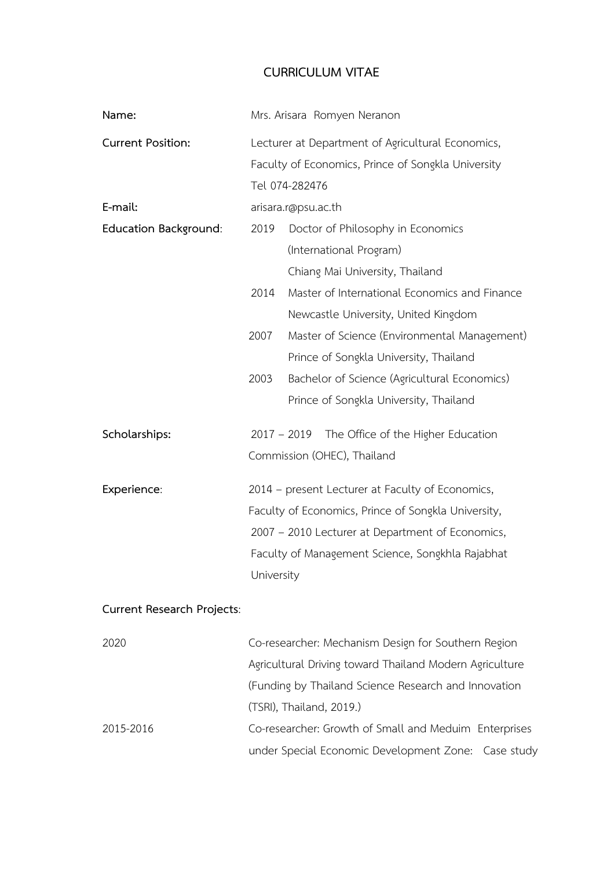# **CURRICULUM VITAE**

| Name:                             | Mrs. Arisara Romyen Neranon                                                                                                                                                                                                   |
|-----------------------------------|-------------------------------------------------------------------------------------------------------------------------------------------------------------------------------------------------------------------------------|
| <b>Current Position:</b>          | Lecturer at Department of Agricultural Economics,<br>Faculty of Economics, Prince of Songkla University<br>Tel 074-282476                                                                                                     |
| E-mail:                           | arisara.r@psu.ac.th                                                                                                                                                                                                           |
| <b>Education Background:</b>      | Doctor of Philosophy in Economics<br>2019<br>(International Program)<br>Chiang Mai University, Thailand                                                                                                                       |
|                                   | 2014<br>Master of International Economics and Finance<br>Newcastle University, United Kingdom                                                                                                                                 |
|                                   | Master of Science (Environmental Management)<br>2007<br>Prince of Songkla University, Thailand                                                                                                                                |
|                                   | 2003<br>Bachelor of Science (Agricultural Economics)<br>Prince of Songkla University, Thailand                                                                                                                                |
| Scholarships:                     | $2017 - 2019$<br>The Office of the Higher Education<br>Commission (OHEC), Thailand                                                                                                                                            |
| Experience:                       | 2014 - present Lecturer at Faculty of Economics,<br>Faculty of Economics, Prince of Songkla University,<br>2007 - 2010 Lecturer at Department of Economics,<br>Faculty of Management Science, Songkhla Rajabhat<br>University |
| <b>Current Research Projects:</b> |                                                                                                                                                                                                                               |
| 2020                              | Co-researcher: Mechanism Design for Southern Region<br>Agricultural Driving toward Thailand Modern Agriculture<br>(Funding by Thailand Science Research and Innovation<br>(TSRI), Thailand, 2019.)                            |
| 2015-2016                         | Co-researcher: Growth of Small and Meduim Enterprises<br>under Special Economic Development Zone: Case study                                                                                                                  |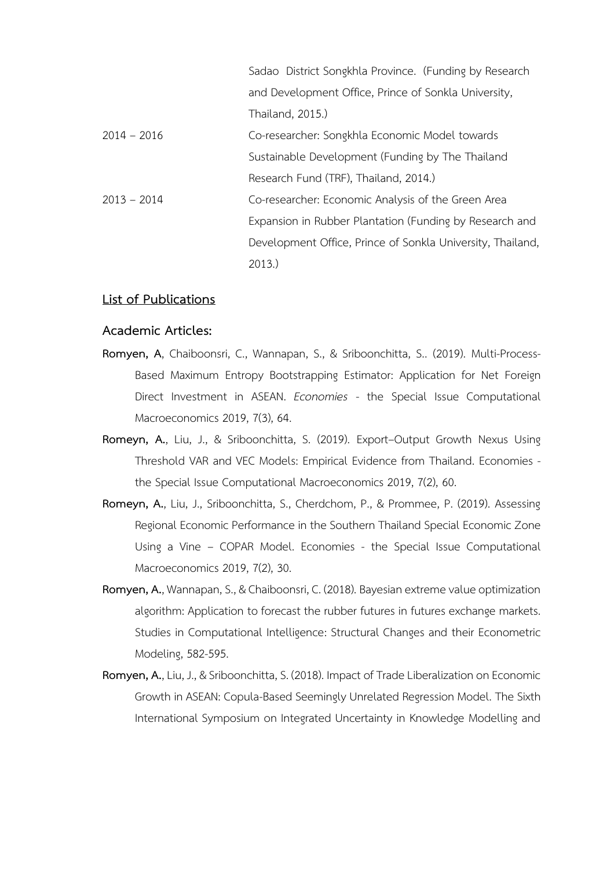|               | Sadao District Songkhla Province. (Funding by Research     |
|---------------|------------------------------------------------------------|
|               | and Development Office, Prince of Sonkla University,       |
|               | Thailand, 2015.)                                           |
| $2014 - 2016$ | Co-researcher: Songkhla Economic Model towards             |
|               | Sustainable Development (Funding by The Thailand           |
|               | Research Fund (TRF), Thailand, 2014.)                      |
| $2013 - 2014$ | Co-researcher: Economic Analysis of the Green Area         |
|               | Expansion in Rubber Plantation (Funding by Research and    |
|               | Development Office, Prince of Sonkla University, Thailand, |
|               | 2013.                                                      |

## **List of Publications**

#### **Academic Articles:**

- **Romyen, A**, Chaiboonsri, C., Wannapan, S., & Sriboonchitta, S.. (2019). Multi-Process-Based Maximum Entropy Bootstrapping Estimator: Application for Net Foreign Direct Investment in ASEAN. *Economies* - the Special Issue Computational Macroeconomics 2019, 7(3), 64.
- **Romeyn, A.**, Liu, J., & Sriboonchitta, S. (2019). Export–Output Growth Nexus Using Threshold VAR and VEC Models: Empirical Evidence from Thailand. Economies the Special Issue Computational Macroeconomics 2019, 7(2), 60.
- **Romeyn, A.**, Liu, J., Sriboonchitta, S., Cherdchom, P., & Prommee, P. (2019). Assessing Regional Economic Performance in the Southern Thailand Special Economic Zone Using a Vine – COPAR Model. Economies - the Special Issue Computational Macroeconomics 2019, 7(2), 30.
- **Romyen, A.**, Wannapan, S., & Chaiboonsri, C. (2018). Bayesian extreme value optimization algorithm: Application to forecast the rubber futures in futures exchange markets. Studies in Computational Intelligence: Structural Changes and their Econometric Modeling, 582-595.
- **Romyen, A.**, Liu, J., & Sriboonchitta, S. (2018). Impact of Trade Liberalization on Economic Growth in ASEAN: Copula-Based Seemingly Unrelated Regression Model. The Sixth International Symposium on Integrated Uncertainty in Knowledge Modelling and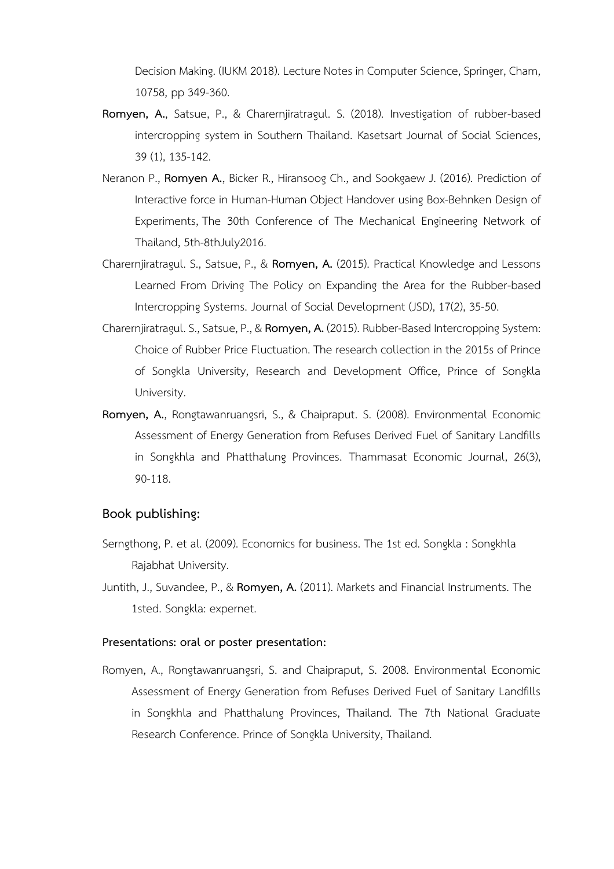Decision Making. (IUKM 2018). Lecture Notes in Computer Science, Springer, Cham, 10758, pp 349-360.

- **Romyen, A.**, Satsue, P., & Charernjiratragul. S. (2018). Investigation of rubber-based intercropping system in Southern Thailand. Kasetsart Journal of Social Sciences, 39 (1), 135-142.
- Neranon P., **Romyen A.**, Bicker R., Hiransoog Ch., and Sookgaew J. (2016). Prediction of Interactive force in Human-Human Object Handover using Box-Behnken Design of Experiments, The 30th Conference of The Mechanical Engineering Network of Thailand, 5th-8thJuly2016.
- Charernjiratragul. S., Satsue, P., & **Romyen, A.** (2015). Practical Knowledge and Lessons Learned From Driving The Policy on Expanding the Area for the Rubber-based Intercropping Systems. Journal of Social Development (JSD), 17(2), 35-50.
- Charernjiratragul. S., Satsue, P., & **Romyen, A.** (2015). Rubber-Based Intercropping System: Choice of Rubber Price Fluctuation. The research collection in the 2015s of Prince of Songkla University, Research and Development Office, Prince of Songkla University.
- **Romyen, A.**, Rongtawanruangsri, S., & Chaipraput. S. (2008). Environmental Economic Assessment of Energy Generation from Refuses Derived Fuel of Sanitary Landfills in Songkhla and Phatthalung Provinces. Thammasat Economic Journal, 26(3), 90-118.

# **Book publishing:**

- Serngthong, P. et al. (2009). Economics for business. The 1st ed. Songkla : Songkhla Rajabhat University.
- Juntith, J., Suvandee, P., & **Romyen, A.** (2011). Markets and Financial Instruments. The 1sted. Songkla: expernet.

### **Presentations: oral or poster presentation:**

Romyen, A., Rongtawanruangsri, S. and Chaipraput, S. 2008. Environmental Economic Assessment of Energy Generation from Refuses Derived Fuel of Sanitary Landfills in Songkhla and Phatthalung Provinces, Thailand. The 7th National Graduate Research Conference. Prince of Songkla University, Thailand.